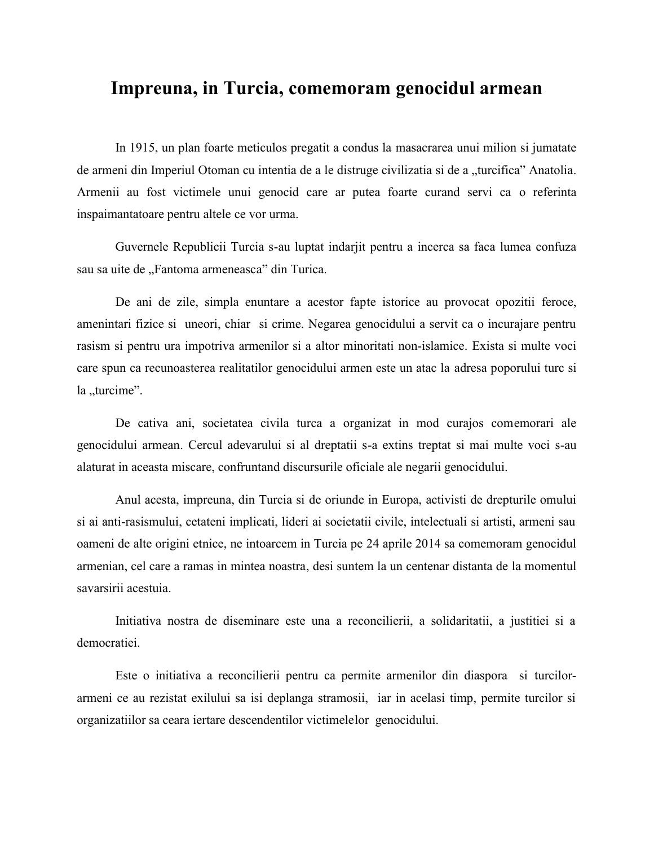## **Impreuna, in Turcia, comemoram genocidul armean**

In 1915, un plan foarte meticulos pregatit a condus la masacrarea unui milion si jumatate de armeni din Imperiul Otoman cu intentia de a le distruge civilizatia si de a "turcifica" Anatolia. Armenii au fost victimele unui genocid care ar putea foarte curand servi ca o referinta inspaimantatoare pentru altele ce vor urma.

Guvernele Republicii Turcia s-au luptat indarjit pentru a incerca sa faca lumea confuza sau sa uite de "Fantoma armeneasca" din Turica.

De ani de zile, simpla enuntare a acestor fapte istorice au provocat opozitii feroce, amenintari fizice si uneori, chiar si crime. Negarea genocidului a servit ca o incurajare pentru rasism si pentru ura impotriva armenilor si a altor minoritati non-islamice. Exista si multe voci care spun ca recunoasterea realitatilor genocidului armen este un atac la adresa poporului turc si la "turcime".

De cativa ani, societatea civila turca a organizat in mod curajos comemorari ale genocidului armean. Cercul adevarului si al dreptatii s-a extins treptat si mai multe voci s-au alaturat in aceasta miscare, confruntand discursurile oficiale ale negarii genocidului.

Anul acesta, impreuna, din Turcia si de oriunde in Europa, activisti de drepturile omului si ai anti-rasismului, cetateni implicati, lideri ai societatii civile, intelectuali si artisti, armeni sau oameni de alte origini etnice, ne intoarcem in Turcia pe 24 aprile 2014 sa comemoram genocidul armenian, cel care a ramas in mintea noastra, desi suntem la un centenar distanta de la momentul savarsirii acestuia.

Initiativa nostra de diseminare este una a reconcilierii, a solidaritatii, a justitiei si a democratiei.

Este o initiativa a reconcilierii pentru ca permite armenilor din diaspora si turcilor armeni ce au rezistat exilului sa isi deplanga stramosii, iar in acelasi timp, permite turcilor si organizatiilor sa ceara iertare descendentilor victimelelor genocidului.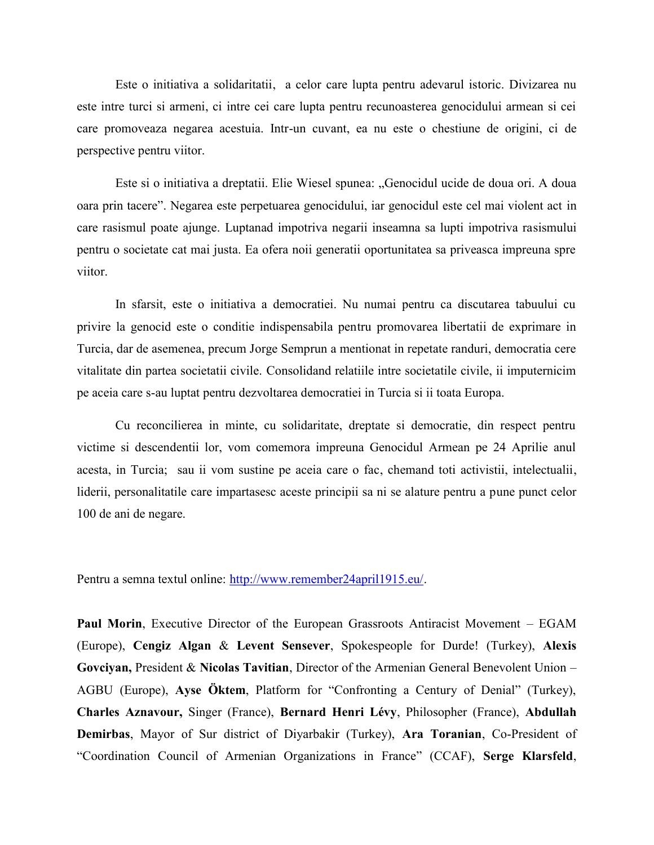Este o initiativa a solidaritatii, a celor care lupta pentru adevarul istoric. Divizarea nu este intre turci si armeni, ci intre cei care lupta pentru recunoasterea genocidului armean si cei care promoveaza negarea acestuia. Intr-un cuvant, ea nu este o chestiune de origini, ci de perspective pentru viitor.

Este si o initiativa a dreptatii. Elie Wiesel spunea: "Genocidul ucide de doua ori. A doua oara prin tacere". Negarea este perpetuarea genocidului, iar genocidul este cel mai violent act in care rasismul poate ajunge. Luptanad impotriva negarii inseamna sa lupti impotriva rasismului pentru o societate cat mai justa. Ea ofera noii generatii oportunitatea sa priveasca impreuna spre viitor.

In sfarsit, este o initiativa a democratiei. Nu numai pentru ca discutarea tabuului cu privire la genocid este o conditie indispensabila pentru promovarea libertatii de exprimare in Turcia, dar de asemenea, precum Jorge Semprun a mentionat in repetate randuri, democratia cere vitalitate din partea societatii civile. Consolidand relatiile intre societatile civile, ii imputernicim pe aceia care s-au luptat pentru dezvoltarea democratiei in Turcia si ii toata Europa.

Cu reconcilierea in minte, cu solidaritate, dreptate si democratie, din respect pentru victime si descendentii lor, vom comemora impreuna Genocidul Armean pe 24 Aprilie anul acesta, in Turcia; sau ii vom sustine pe aceia care o fac, chemand toti activistii, intelectualii, liderii, personalitatile care impartasesc aceste principii sa ni se alature pentru a pune punct celor 100 de ani de negare.

Pentru a semna textul online: http://www.remember24april1915.eu/.

**Paul Morin**, Executive Director of the European Grassroots Antiracist Movement – EGAM (Europe), **Cengiz Algan** & **Levent Sensever**, Spokespeople for Durde! (Turkey), **Alexis Govciyan,** President & **Nicolas Tavitian**, Director of the Armenian General Benevolent Union – AGBU (Europe), **Ayse Öktem**, Platform for "Confronting a Century of Denial" (Turkey), **Charles Aznavour,** Singer (France), **Bernard Henri Lévy**, Philosopher (France), **Abdullah Demirbas**, Mayor of Sur district of Diyarbakir (Turkey), **Ara Toranian**, Co-President of "Coordination Council of Armenian Organizations in France" (CCAF), **Serge Klarsfeld**,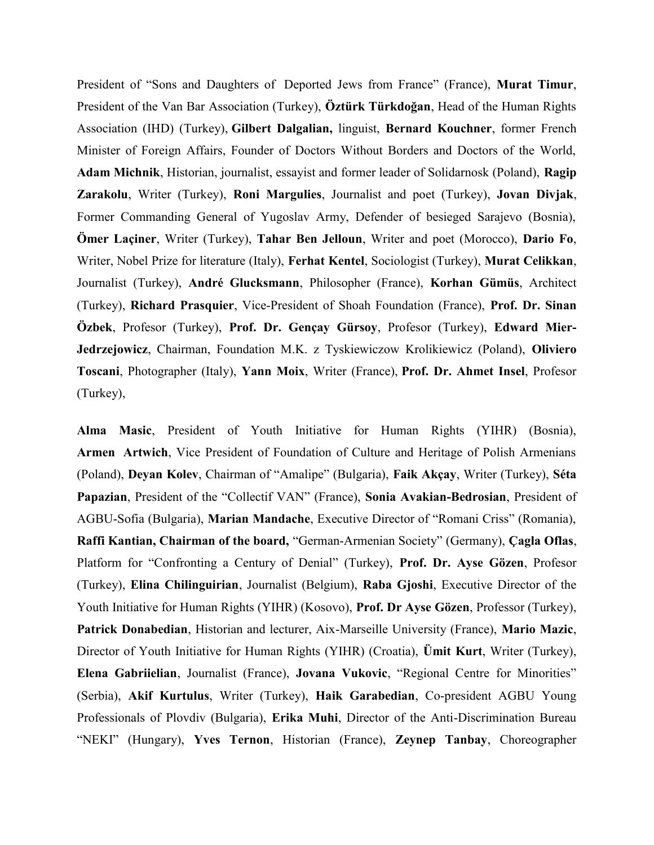President of "Sons and Daughters of Deported Jews from France" (France), **Murat Timur**, President of the Van Bar Association (Turkey), **Öztürk Türkdoğan**, Head of the Human Rights Association (IHD) (Turkey), **Gilbert Dalgalian,** linguist, **Bernard Kouchner**, former French Minister of Foreign Affairs, Founder of Doctors Without Borders and Doctors of the World, **Adam Michnik**, Historian, journalist, essayist and former leader of Solidarnosk (Poland), **Ragip Zarakolu**, Writer (Turkey), **Roni Margulies**, Journalist and poet (Turkey), **Jovan Divjak**, Former Commanding General of Yugoslav Army, Defender of besieged Sarajevo (Bosnia), **Ömer Laçiner**, Writer (Turkey), **Tahar Ben Jelloun**, Writer and poet (Morocco), **Dario Fo**, Writer, Nobel Prize for literature (Italy), **Ferhat Kentel**, Sociologist (Turkey), **Murat Celikkan**, Journalist (Turkey), **André Glucksmann**, Philosopher (France), **Korhan Gümüs**, Architect (Turkey), **Richard Prasquier**, Vice-President of Shoah Foundation (France), **Prof. Dr. Sinan Özbek**, Profesor (Turkey), **Prof. Dr. Gençay Gürsoy**, Profesor (Turkey), **Edward Mier- Jedrzejowicz**, Chairman, Foundation M.K. z Tyskiewiczow Krolikiewicz (Poland), **Oliviero Toscani**, Photographer (Italy), **Yann Moix**, Writer (France), **Prof. Dr. Ahmet Insel**, Profesor (Turkey),

**Alma Masic**, President of Youth Initiative for Human Rights (YIHR) (Bosnia), **Armen Artwich**, Vice President of Foundation of Culture and Heritage of Polish Armenians (Poland), **Deyan Kolev**, Chairman of "Amalipe" (Bulgaria), **Faik Akçay**, Writer (Turkey), **Séta Papazian**, President of the "Collectif VAN" (France), **Sonia Avakian-Bedrosian**, President of AGBU-Sofia (Bulgaria), **Marian Mandache**, Executive Director of "Romani Criss" (Romania), **Raffi Kantian, Chairman of the board,** "German-Armenian Society" (Germany), **Çagla Oflas**, Platform for "Confronting a Century of Denial" (Turkey), **Prof. Dr. Ayse Gözen**, Profesor (Turkey), **Elina Chilinguirian**, Journalist (Belgium), **Raba Gjoshi**, Executive Director of the Youth Initiative for Human Rights (YIHR) (Kosovo), **Prof. Dr Ayse Gözen**, Professor (Turkey), **Patrick Donabedian**, Historian and lecturer, Aix-Marseille University (France), **Mario Mazic**, Director of Youth Initiative for Human Rights (YIHR) (Croatia), **Ümit Kurt**, Writer (Turkey), **Elena Gabriielian**, Journalist (France), **Jovana Vukovic**, "Regional Centre for Minorities" (Serbia), **Akif Kurtulus**, Writer (Turkey), **Haik Garabedian**, Co-president AGBU Young Professionals of Plovdiv (Bulgaria), **Erika Muhi**, Director of the Anti-Discrimination Bureau "NEKI" (Hungary), **Yves Ternon**, Historian (France), **Zeynep Tanbay**, Choreographer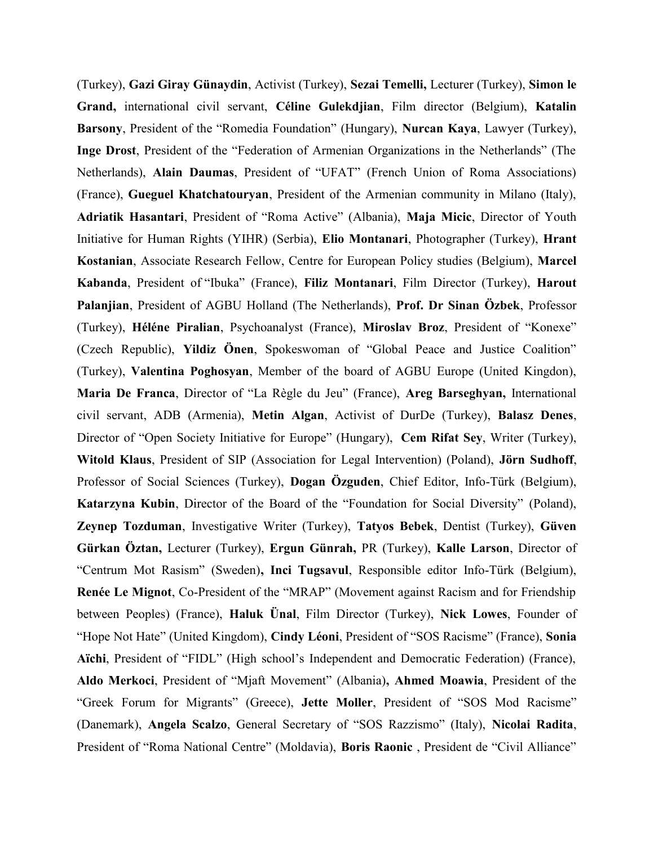(Turkey), **Gazi Giray Günaydin**, Activist (Turkey), **Sezai Temelli,** Lecturer (Turkey), **Simon le Grand,** international civil servant, **Céline Gulekdjian**, Film director (Belgium), **Katalin Barsony**, President of the "Romedia Foundation" (Hungary), **Nurcan Kaya**, Lawyer (Turkey), **Inge Drost**, President of the "Federation of Armenian Organizations in the Netherlands" (The Netherlands), **Alain Daumas**, President of "UFAT" (French Union of Roma Associations) (France), **Gueguel Khatchatouryan**, President of the Armenian community in Milano (Italy), **Adriatik Hasantari**, President of "Roma Active" (Albania), **Maja Micic**, Director of Youth Initiative for Human Rights (YIHR) (Serbia), **Elio Montanari**, Photographer (Turkey), **Hrant Kostanian**, Associate Research Fellow, Centre for European Policy studies (Belgium), **Marcel Kabanda**, President of "Ibuka" (France), **Filiz Montanari**, Film Director (Turkey), **Harout Palanjian**, President of AGBU Holland (The Netherlands), **Prof. Dr Sinan Özbek**, Professor (Turkey), **Héléne Piralian**, Psychoanalyst (France), **Miroslav Broz**, President of "Konexe" (Czech Republic), **Yildiz Önen**, Spokeswoman of "Global Peace and Justice Coalition" (Turkey), **Valentina Poghosyan**, Member of the board of AGBU Europe (United Kingdon), **Maria De Franca**, Director of "La Règle du Jeu" (France), **Areg Barseghyan,** International civil servant, ADB (Armenia), **Metin Algan**, Activist of DurDe (Turkey), **Balasz Denes**, Director of "Open Society Initiative for Europe" (Hungary), **Cem Rifat Sey**, Writer (Turkey), **Witold Klaus**, President of SIP (Association for Legal Intervention) (Poland), **Jörn Sudhoff**, Professor of Social Sciences (Turkey), **Dogan Özguden**, Chief Editor, Info-Türk (Belgium), **Katarzyna Kubin**, Director of the Board of the "Foundation for Social Diversity" (Poland), **Zeynep Tozduman**, Investigative Writer (Turkey), **Tatyos Bebek**, Dentist (Turkey), **Güven Gürkan Öztan,** Lecturer (Turkey), **Ergun Günrah,** PR (Turkey), **Kalle Larson**, Director of "Centrum Mot Rasism" (Sweden)**, Inci Tugsavul**, Responsible editor Info-Türk (Belgium), **Renée Le Mignot**, Co-President of the "MRAP" (Movement against Racism and for Friendship between Peoples) (France), **Haluk Ünal**, Film Director (Turkey), **Nick Lowes**, Founder of "Hope Not Hate" (United Kingdom), **Cindy Léoni**, President of "SOS Racisme" (France), **Sonia Aïchi**, President of "FIDL" (High school's Independent and Democratic Federation) (France), **Aldo Merkoci**, President of "Mjaft Movement" (Albania)**, Ahmed Moawia**, President of the "Greek Forum for Migrants" (Greece), **Jette Moller**, President of "SOS Mod Racisme" (Danemark), **Angela Scalzo**, General Secretary of "SOS Razzismo" (Italy), **Nicolai Radita**, President of "Roma National Centre" (Moldavia), **Boris Raonic** , President de "Civil Alliance"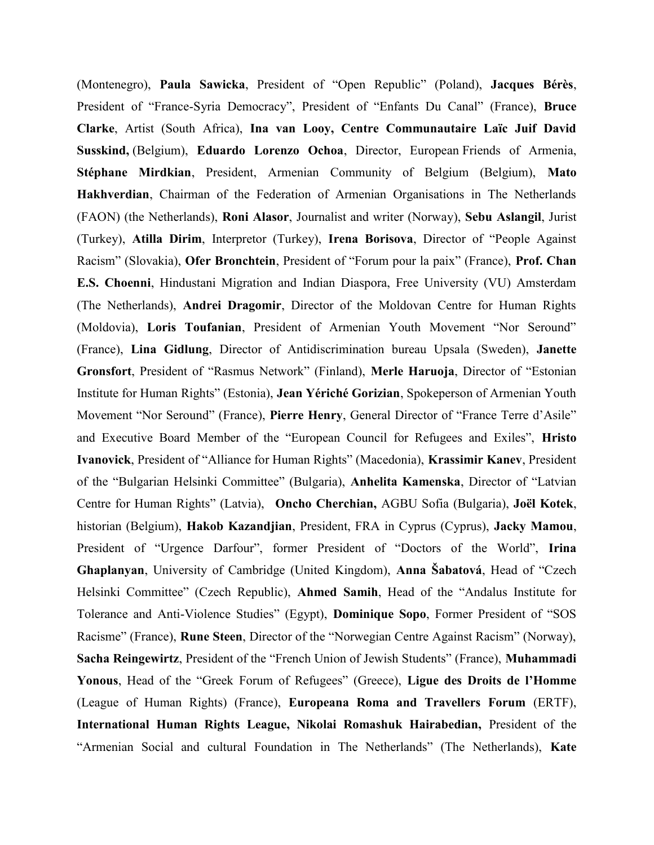(Montenegro), **Paula Sawicka**, President of "Open Republic" (Poland), **Jacques Bérès**, President of "France-Syria Democracy", President of "Enfants Du Canal" (France), **Bruce Clarke**, Artist (South Africa), **Ina van Looy, Centre Communautaire Laïc Juif David Susskind,** (Belgium), **Eduardo Lorenzo Ochoa**, Director, European Friends of Armenia, **Stéphane Mirdkian**, President, Armenian Community of Belgium (Belgium), **Mato Hakhverdian**, Chairman of the Federation of Armenian Organisations in The Netherlands (FAON) (the Netherlands), **Roni Alasor**, Journalist and writer (Norway), **Sebu Aslangil**, Jurist (Turkey), **Atilla Dirim**, Interpretor (Turkey), **Irena Borisova**, Director of "People Against Racism" (Slovakia), **Ofer Bronchtein**, President of "Forum pour la paix" (France), **Prof. Chan E.S. Choenni**, Hindustani Migration and Indian Diaspora, Free University (VU) Amsterdam (The Netherlands), **Andrei Dragomir**, Director of the Moldovan Centre for Human Rights (Moldovia), **Loris Toufanian**, President of Armenian Youth Movement "Nor Seround" (France), **Lina Gidlung**, Director of Antidiscrimination bureau Upsala (Sweden), **Janette Gronsfort**, President of "Rasmus Network" (Finland), **Merle Haruoja**, Director of "Estonian Institute for Human Rights" (Estonia), **Jean Yériché Gorizian**, Spokeperson of Armenian Youth Movement "Nor Seround" (France), **Pierre Henry**, General Director of "France Terre d'Asile" and Executive Board Member of the "European Council for Refugees and Exiles", **Hristo Ivanovick**, President of "Alliance for Human Rights" (Macedonia), **Krassimir Kanev**, President of the "Bulgarian Helsinki Committee" (Bulgaria), **Anhelita Kamenska**, Director of "Latvian Centre for Human Rights" (Latvia), **Oncho Cherchian,** AGBU Sofia (Bulgaria), **Joël Kotek**, historian (Belgium), **Hakob Kazandjian**, President, FRA in Cyprus (Cyprus), **Jacky Mamou**, President of "Urgence Darfour", former President of "Doctors of the World", **Irina Ghaplanyan**, University of Cambridge (United Kingdom), **Anna Šabatová**, Head of "Czech Helsinki Committee" (Czech Republic), **Ahmed Samih**, Head of the "Andalus Institute for Tolerance and Anti-Violence Studies" (Egypt), **Dominique Sopo**, Former President of "SOS Racisme" (France), **Rune Steen**, Director of the "Norwegian Centre Against Racism" (Norway), **Sacha Reingewirtz**, President of the "French Union of Jewish Students" (France), **Muhammadi Yonous**, Head of the "Greek Forum of Refugees" (Greece), **Ligue des Droits de l'Homme** (League of Human Rights) (France), **Europeana Roma and Travellers Forum** (ERTF), **International Human Rights League, Nikolai Romashuk Hairabedian,** President of the "Armenian Social and cultural Foundation in The Netherlands" (The Netherlands), **Kate**